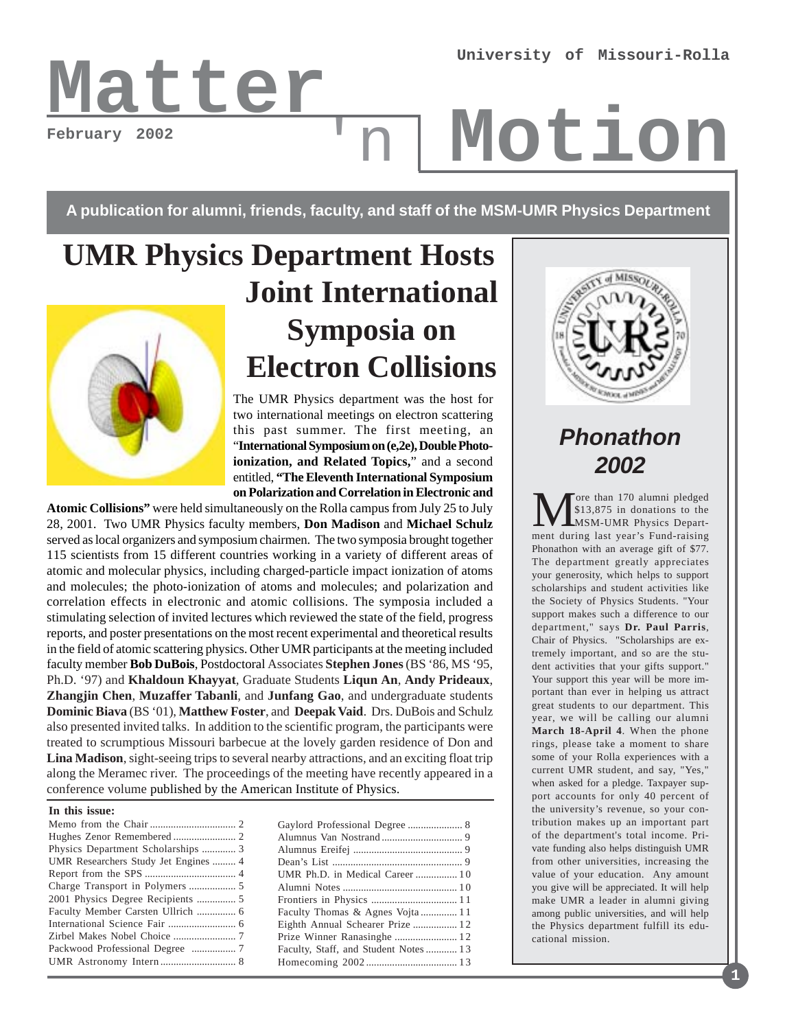# **February 2002**

# Latter<sub>'n</sub> Motion

**A publication for alumni, friends, faculty, and staff of the MSM-UMR Physics Department**

'n

# **UMR Physics Department Hosts Joint International Symposia on Electron Collisions**

The UMR Physics department was the host for two international meetings on electron scattering this past summer. The first meeting, an "**International Symposium on (e,2e), Double Photoionization, and Related Topics,**" and a second entitled, **"The Eleventh International Symposium on Polarization and Correlation in Electronic and**

**Atomic Collisions"** were held simultaneously on the Rolla campus from July 25 to July 28, 2001. Two UMR Physics faculty members, **Don Madison** and **Michael Schulz** served as local organizers and symposium chairmen. The two symposia brought together 115 scientists from 15 different countries working in a variety of different areas of atomic and molecular physics, including charged-particle impact ionization of atoms and molecules; the photo-ionization of atoms and molecules; and polarization and correlation effects in electronic and atomic collisions. The symposia included a stimulating selection of invited lectures which reviewed the state of the field, progress reports, and poster presentations on the most recent experimental and theoretical results in the field of atomic scattering physics. Other UMR participants at the meeting included faculty member **Bob DuBois**, Postdoctoral Associates **Stephen Jones** (BS '86, MS '95, Ph.D. '97) and **Khaldoun Khayyat**, Graduate Students **Liqun An**, **Andy Prideaux**, **Zhangjin Chen**, **Muzaffer Tabanli**, and **Junfang Gao**, and undergraduate students **Dominic Biava** (BS '01), **Matthew Foster**, and **Deepak Vaid**. Drs. DuBois and Schulz also presented invited talks. In addition to the scientific program, the participants were treated to scrumptious Missouri barbecue at the lovely garden residence of Don and **Lina Madison**, sight-seeing trips to several nearby attractions, and an exciting float trip along the Meramec river. The proceedings of the meeting have recently appeared in a conference volume published by the American Institute of Physics.

#### **In this issue:**

| Physics Department Scholarships  3   |  |
|--------------------------------------|--|
| UMR Researchers Study Jet Engines  4 |  |
|                                      |  |
|                                      |  |
| 2001 Physics Degree Recipients  5    |  |
| Faculty Member Carsten Ullrich  6    |  |
|                                      |  |
|                                      |  |
|                                      |  |
|                                      |  |
|                                      |  |

| UMR Ph.D. in Medical Career 10       |  |
|--------------------------------------|--|
|                                      |  |
|                                      |  |
| Faculty Thomas & Agnes Vojta 11      |  |
| Eighth Annual Schearer Prize  12     |  |
|                                      |  |
| Faculty, Staff, and Student Notes 13 |  |
|                                      |  |
|                                      |  |



## **Phonathon 2002**

More than 170 alumni pledged<br>
MSM-UMR Physics Depart-<br>
ment during last year's Eund-raising \$13,875 in donations to the ment during last year's Fund-raising Phonathon with an average gift of \$77. The department greatly appreciates your generosity, which helps to support scholarships and student activities like the Society of Physics Students. "Your support makes such a difference to our department," says **Dr. Paul Parris**, Chair of Physics. "Scholarships are extremely important, and so are the student activities that your gifts support." Your support this year will be more important than ever in helping us attract great students to our department. This year, we will be calling our alumni **March 18-April 4**. When the phone rings, please take a moment to share some of your Rolla experiences with a current UMR student, and say, "Yes," when asked for a pledge. Taxpayer support accounts for only 40 percent of the university's revenue, so your contribution makes up an important part of the department's total income. Private funding also helps distinguish UMR from other universities, increasing the value of your education. Any amount you give will be appreciated. It will help make UMR a leader in alumni giving among public universities, and will help the Physics department fulfill its educational mission.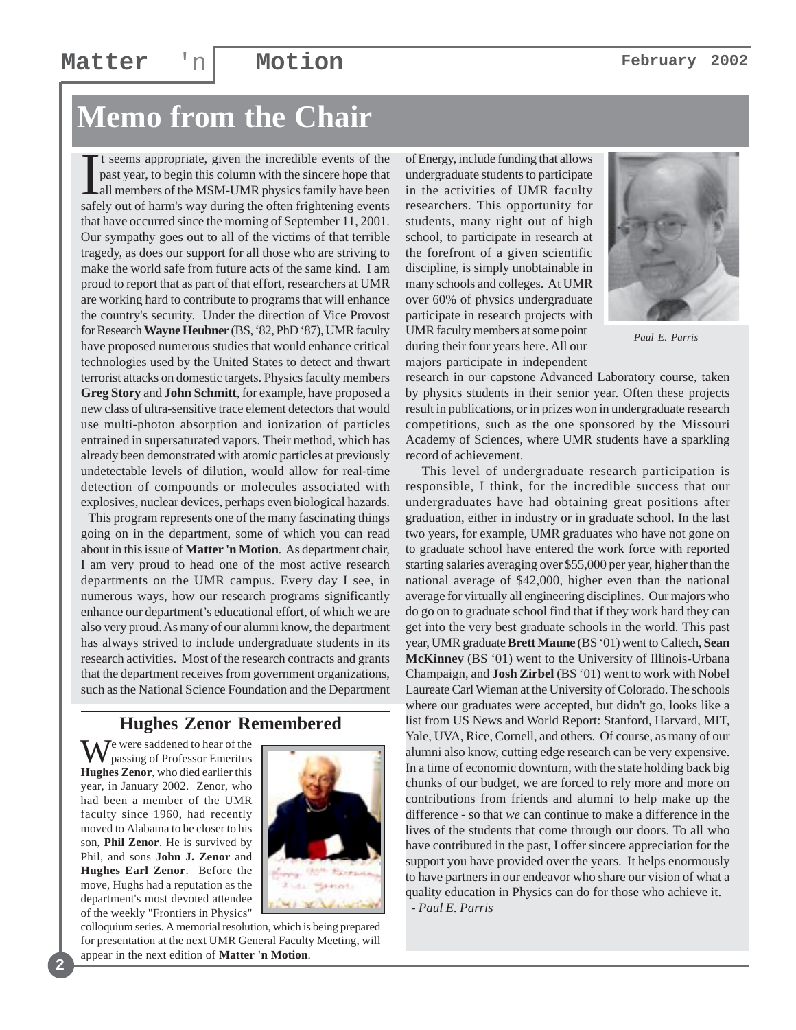### **Matter** 'n **Motion February** 2002

# **Memo from the Chair**

It seems appropriate, given the incredible events of the past year, to begin this column with the sincere hope that all members of the MSM-UMR physics family have been safely out of harm's way during the often frightening t seems appropriate, given the incredible events of the past year, to begin this column with the sincere hope that all members of the MSM-UMR physics family have been that have occurred since the morning of September 11, 2001. Our sympathy goes out to all of the victims of that terrible tragedy, as does our support for all those who are striving to make the world safe from future acts of the same kind. I am proud to report that as part of that effort, researchers at UMR are working hard to contribute to programs that will enhance the country's security. Under the direction of Vice Provost for Research **Wayne Heubner** (BS, '82, PhD '87), UMR faculty have proposed numerous studies that would enhance critical technologies used by the United States to detect and thwart terrorist attacks on domestic targets. Physics faculty members **Greg Story** and **John Schmitt**, for example, have proposed a new class of ultra-sensitive trace element detectors that would use multi-photon absorption and ionization of particles entrained in supersaturated vapors. Their method, which has already been demonstrated with atomic particles at previously undetectable levels of dilution, would allow for real-time detection of compounds or molecules associated with explosives, nuclear devices, perhaps even biological hazards.

 This program represents one of the many fascinating things going on in the department, some of which you can read about in this issue of **Matter 'n Motion**. As department chair, I am very proud to head one of the most active research departments on the UMR campus. Every day I see, in numerous ways, how our research programs significantly enhance our department's educational effort, of which we are also very proud. As many of our alumni know, the department has always strived to include undergraduate students in its research activities. Most of the research contracts and grants that the department receives from government organizations, such as the National Science Foundation and the Department

#### **Hughes Zenor Remembered**

 $\overline{J}$ e were saddened to hear of the passing of Professor Emeritus **Hughes Zenor**, who died earlier this year, in January 2002. Zenor, who had been a member of the UMR faculty since 1960, had recently moved to Alabama to be closer to his son, **Phil Zenor**. He is survived by Phil, and sons **John J. Zenor** and **Hughes Earl Zenor**. Before the move, Hughs had a reputation as the department's most devoted attendee of the weekly "Frontiers in Physics"

**2**



colloquium series. A memorial resolution, which is being prepared for presentation at the next UMR General Faculty Meeting, will appear in the next edition of **Matter 'n Motion**.

of Energy, include funding that allows undergraduate students to participate in the activities of UMR faculty researchers. This opportunity for students, many right out of high school, to participate in research at the forefront of a given scientific discipline, is simply unobtainable in many schools and colleges. At UMR over 60% of physics undergraduate participate in research projects with UMR faculty members at some point during their four years here. All our majors participate in independent



*Paul E. Parris*

research in our capstone Advanced Laboratory course, taken by physics students in their senior year. Often these projects result in publications, or in prizes won in undergraduate research competitions, such as the one sponsored by the Missouri Academy of Sciences, where UMR students have a sparkling record of achievement.

 This level of undergraduate research participation is responsible, I think, for the incredible success that our undergraduates have had obtaining great positions after graduation, either in industry or in graduate school. In the last two years, for example, UMR graduates who have not gone on to graduate school have entered the work force with reported starting salaries averaging over \$55,000 per year, higher than the national average of \$42,000, higher even than the national average for virtually all engineering disciplines. Our majors who do go on to graduate school find that if they work hard they can get into the very best graduate schools in the world. This past year, UMR graduate **Brett Maune** (BS '01) went to Caltech, **Sean McKinney** (BS '01) went to the University of Illinois-Urbana Champaign, and **Josh Zirbel** (BS '01) went to work with Nobel Laureate Carl Wieman at the University of Colorado. The schools where our graduates were accepted, but didn't go, looks like a list from US News and World Report: Stanford, Harvard, MIT, Yale, UVA, Rice, Cornell, and others. Of course, as many of our alumni also know, cutting edge research can be very expensive. In a time of economic downturn, with the state holding back big chunks of our budget, we are forced to rely more and more on contributions from friends and alumni to help make up the difference - so that *we* can continue to make a difference in the lives of the students that come through our doors. To all who have contributed in the past, I offer sincere appreciation for the support you have provided over the years. It helps enormously to have partners in our endeavor who share our vision of what a quality education in Physics can do for those who achieve it.

*- Paul E. Parris*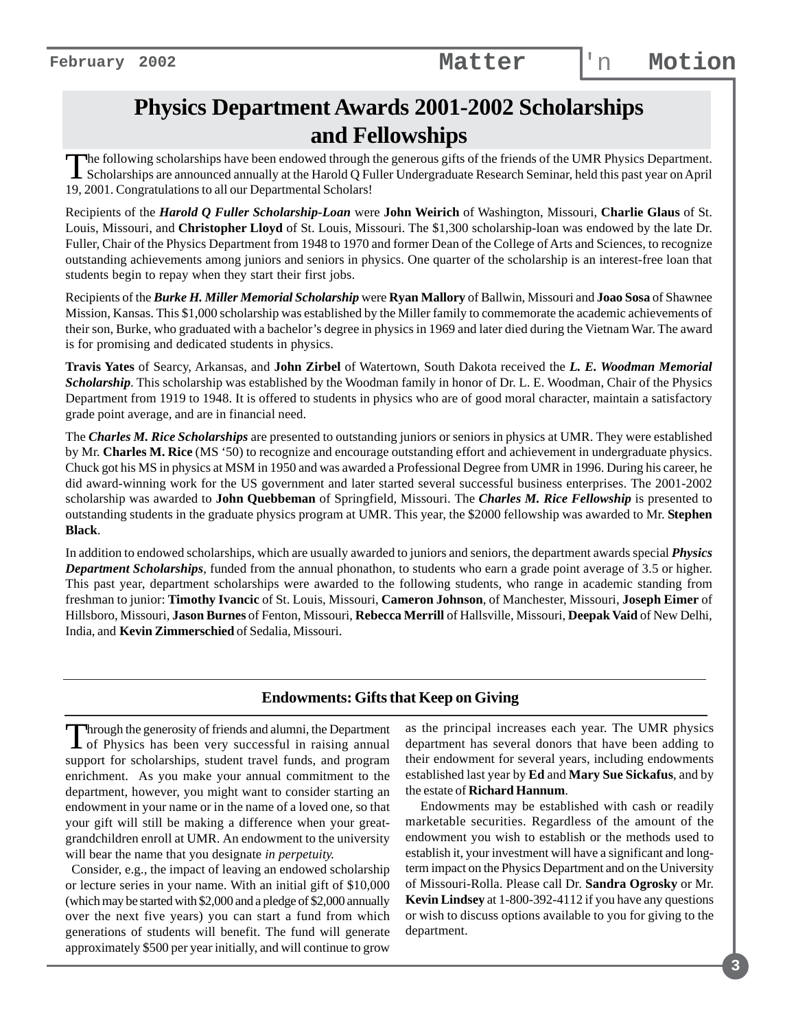## **Physics Department Awards 2001-2002 Scholarships and Fellowships**

The following scholarships have been endowed through the generous gifts of the friends of the UMR Physics Department.<br>Scholarships are announced annually at the Harold Q Fuller Undergraduate Research Seminar, held this pas 19, 2001. Congratulations to all our Departmental Scholars!

Recipients of the *Harold Q Fuller Scholarship-Loan* were **John Weirich** of Washington, Missouri, **Charlie Glaus** of St. Louis, Missouri, and **Christopher Lloyd** of St. Louis, Missouri. The \$1,300 scholarship-loan was endowed by the late Dr. Fuller, Chair of the Physics Department from 1948 to 1970 and former Dean of the College of Arts and Sciences, to recognize outstanding achievements among juniors and seniors in physics. One quarter of the scholarship is an interest-free loan that students begin to repay when they start their first jobs.

Recipients of the *Burke H. Miller Memorial Scholarship* were **Ryan Mallory** of Ballwin, Missouri and **Joao Sosa** of Shawnee Mission, Kansas. This \$1,000 scholarship was established by the Miller family to commemorate the academic achievements of their son, Burke, who graduated with a bachelor's degree in physics in 1969 and later died during the Vietnam War. The award is for promising and dedicated students in physics.

**Travis Yates** of Searcy, Arkansas, and **John Zirbel** of Watertown, South Dakota received the *L. E. Woodman Memorial Scholarship*. This scholarship was established by the Woodman family in honor of Dr. L. E. Woodman, Chair of the Physics Department from 1919 to 1948. It is offered to students in physics who are of good moral character, maintain a satisfactory grade point average, and are in financial need.

The *Charles M. Rice Scholarships* are presented to outstanding juniors or seniors in physics at UMR. They were established by Mr. **Charles M. Rice** (MS '50) to recognize and encourage outstanding effort and achievement in undergraduate physics. Chuck got his MS in physics at MSM in 1950 and was awarded a Professional Degree from UMR in 1996. During his career, he did award-winning work for the US government and later started several successful business enterprises. The 2001-2002 scholarship was awarded to **John Quebbeman** of Springfield, Missouri. The *Charles M. Rice Fellowship* is presented to outstanding students in the graduate physics program at UMR. This year, the \$2000 fellowship was awarded to Mr. **Stephen Black**.

In addition to endowed scholarships, which are usually awarded to juniors and seniors, the department awards special *Physics Department Scholarships*, funded from the annual phonathon, to students who earn a grade point average of 3.5 or higher. This past year, department scholarships were awarded to the following students, who range in academic standing from freshman to junior: **Timothy Ivancic** of St. Louis, Missouri, **Cameron Johnson**, of Manchester, Missouri, **Joseph Eimer** of Hillsboro, Missouri, **Jason Burnes** of Fenton, Missouri, **Rebecca Merrill** of Hallsville, Missouri, **Deepak Vaid** of New Delhi, India, and **Kevin Zimmerschied** of Sedalia, Missouri.

#### **Endowments: Gifts that Keep on Giving**

Through the generosity of friends and alumni, the Department<br>of Physics has been very successful in raising annual support for scholarships, student travel funds, and program enrichment. As you make your annual commitment to the department, however, you might want to consider starting an endowment in your name or in the name of a loved one, so that your gift will still be making a difference when your greatgrandchildren enroll at UMR. An endowment to the university will bear the name that you designate *in perpetuity.*

Consider, e.g., the impact of leaving an endowed scholarship or lecture series in your name. With an initial gift of \$10,000 (which may be started with \$2,000 and a pledge of \$2,000 annually over the next five years) you can start a fund from which generations of students will benefit. The fund will generate approximately \$500 per year initially, and will continue to grow as the principal increases each year. The UMR physics department has several donors that have been adding to their endowment for several years, including endowments established last year by **Ed** and **Mary Sue Sickafus**, and by the estate of **Richard Hannum**.

 Endowments may be established with cash or readily marketable securities. Regardless of the amount of the endowment you wish to establish or the methods used to establish it, your investment will have a significant and longterm impact on the Physics Department and on the University of Missouri-Rolla. Please call Dr. **Sandra Ogrosky** or Mr. **Kevin Lindsey** at 1-800-392-4112 if you have any questions or wish to discuss options available to you for giving to the department.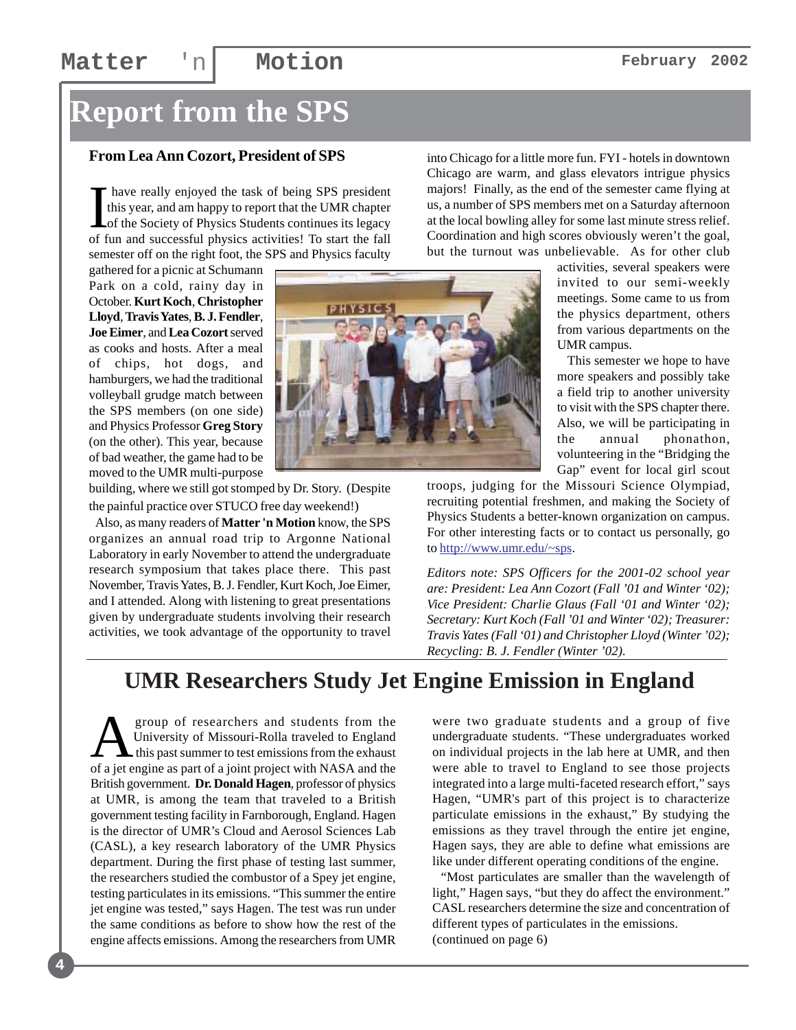### **Matter** 'n **Motion February** 2002

# **Report from the SPS**

#### **From Lea Ann Cozort, President of SPS**

I. have really enjoyed the task of being SPS president this year, and am happy to report that the UMR chapter of the Society of Physics Students continues its legacy of fun and successful physics activities! To start the fall semester off on the right foot, the SPS and Physics faculty

gathered for a picnic at Schumann Park on a cold, rainy day in October. **Kurt Koch**, **Christopher Lloyd**, **Travis Yates**, **B. J. Fendler**, **Joe Eimer**, and **Lea Cozort** served as cooks and hosts. After a meal of chips, hot dogs, and hamburgers, we had the traditional volleyball grudge match between the SPS members (on one side) and Physics Professor **Greg Story** (on the other). This year, because of bad weather, the game had to be moved to the UMR multi-purpose



building, where we still got stomped by Dr. Story. (Despite the painful practice over STUCO free day weekend!)

 Also, as many readers of **Matter 'n Motion** know, the SPS organizes an annual road trip to Argonne National Laboratory in early November to attend the undergraduate research symposium that takes place there. This past November, Travis Yates, B. J. Fendler, Kurt Koch, Joe Eimer, and I attended. Along with listening to great presentations given by undergraduate students involving their research activities, we took advantage of the opportunity to travel

into Chicago for a little more fun. FYI - hotels in downtown Chicago are warm, and glass elevators intrigue physics majors! Finally, as the end of the semester came flying at us, a number of SPS members met on a Saturday afternoon at the local bowling alley for some last minute stress relief. Coordination and high scores obviously weren't the goal, but the turnout was unbelievable. As for other club

> activities, several speakers were invited to our semi-weekly meetings. Some came to us from the physics department, others from various departments on the UMR campus.

> This semester we hope to have more speakers and possibly take a field trip to another university to visit with the SPS chapter there. Also, we will be participating in the annual phonathon, volunteering in the "Bridging the Gap" event for local girl scout

troops, judging for the Missouri Science Olympiad, recruiting potential freshmen, and making the Society of Physics Students a better-known organization on campus. For other interesting facts or to contact us personally, go to http://www.umr.edu/~sps.

*Editors note: SPS Officers for the 2001-02 school year are: President: Lea Ann Cozort (Fall '01 and Winter '02); Vice President: Charlie Glaus (Fall '01 and Winter '02); Secretary: Kurt Koch (Fall '01 and Winter '02); Treasurer: Travis Yates (Fall '01) and Christopher Lloyd (Winter '02); Recycling: B. J. Fendler (Winter '02).*

## **UMR Researchers Study Jet Engine Emission in England**

group of researchers and students from the<br>University of Missouri-Rolla traveled to England<br>this past summer to test emissions from the exhaust<br>of a jet engine as part of a joint project with NASA and the University of Missouri-Rolla traveled to England this past summer to test emissions from the exhaust of a jet engine as part of a joint project with NASA and the British government. **Dr. Donald Hagen**, professor of physics at UMR, is among the team that traveled to a British government testing facility in Farnborough, England. Hagen is the director of UMR's Cloud and Aerosol Sciences Lab (CASL), a key research laboratory of the UMR Physics department. During the first phase of testing last summer, the researchers studied the combustor of a Spey jet engine, testing particulates in its emissions. "This summer the entire jet engine was tested," says Hagen. The test was run under the same conditions as before to show how the rest of the engine affects emissions. Among the researchers from UMR

**4**

were two graduate students and a group of five undergraduate students. "These undergraduates worked on individual projects in the lab here at UMR, and then were able to travel to England to see those projects integrated into a large multi-faceted research effort," says Hagen, "UMR's part of this project is to characterize particulate emissions in the exhaust," By studying the emissions as they travel through the entire jet engine, Hagen says, they are able to define what emissions are like under different operating conditions of the engine.

 "Most particulates are smaller than the wavelength of light," Hagen says, "but they do affect the environment." CASL researchers determine the size and concentration of different types of particulates in the emissions. (continued on page 6)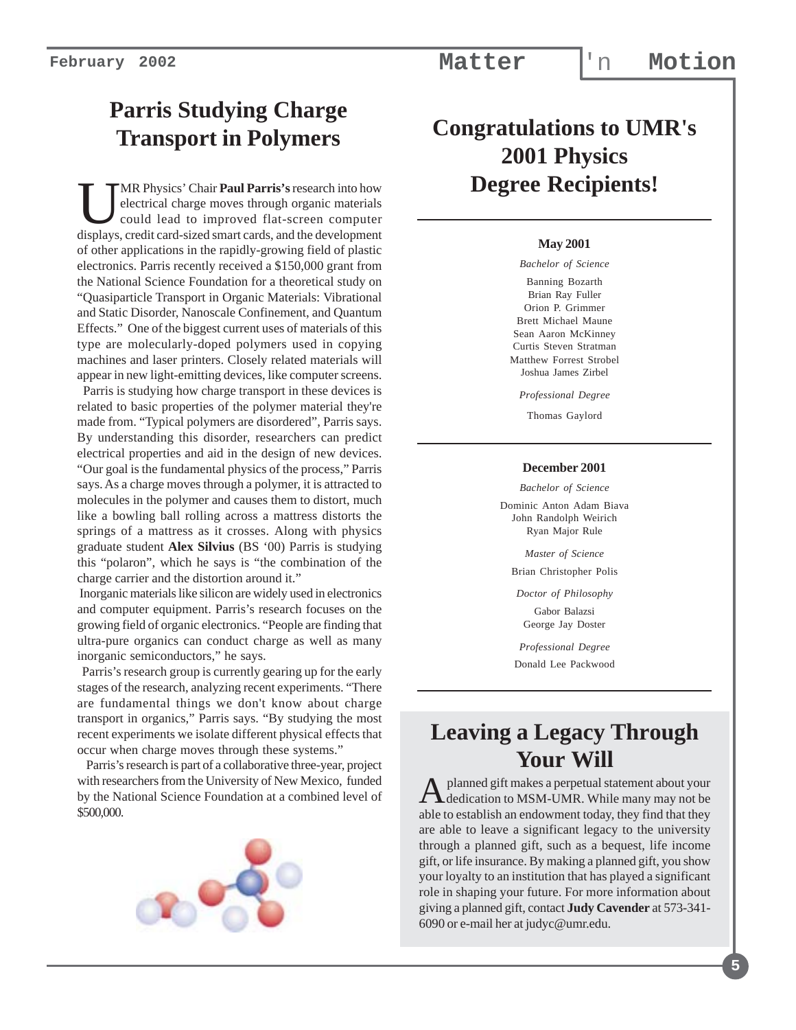## **Parris Studying Charge Transport in Polymers**

**UMR** Physics' Chair **Paul Parris's** research into how<br>electrical charge moves through organic materials<br>could lead to improved flat-screen computer<br>displays credit card-sized smart cards and the development electrical charge moves through organic materials could lead to improved flat-screen computer displays, credit card-sized smart cards, and the development of other applications in the rapidly-growing field of plastic electronics. Parris recently received a \$150,000 grant from the National Science Foundation for a theoretical study on "Quasiparticle Transport in Organic Materials: Vibrational and Static Disorder, Nanoscale Confinement, and Quantum Effects." One of the biggest current uses of materials of this type are molecularly-doped polymers used in copying machines and laser printers. Closely related materials will appear in new light-emitting devices, like computer screens.

 Parris is studying how charge transport in these devices is related to basic properties of the polymer material they're made from. "Typical polymers are disordered", Parris says. By understanding this disorder, researchers can predict electrical properties and aid in the design of new devices. "Our goal is the fundamental physics of the process," Parris says. As a charge moves through a polymer, it is attracted to molecules in the polymer and causes them to distort, much like a bowling ball rolling across a mattress distorts the springs of a mattress as it crosses. Along with physics graduate student **Alex Silvius** (BS '00) Parris is studying this "polaron", which he says is "the combination of the charge carrier and the distortion around it."

 Inorganic materials like silicon are widely used in electronics and computer equipment. Parris's research focuses on the growing field of organic electronics. "People are finding that ultra-pure organics can conduct charge as well as many inorganic semiconductors," he says.

 Parris's research group is currently gearing up for the early stages of the research, analyzing recent experiments. "There are fundamental things we don't know about charge transport in organics," Parris says. "By studying the most recent experiments we isolate different physical effects that occur when charge moves through these systems."

 Parris's research is part of a collaborative three-year, project with researchers from the University of New Mexico, funded by the National Science Foundation at a combined level of \$500,000.



## **Congratulations to UMR's 2001 Physics Degree Recipients!**

#### **May 2001**

*Bachelor of Science*

Banning Bozarth Brian Ray Fuller Orion P. Grimmer Brett Michael Maune Sean Aaron McKinney Curtis Steven Stratman Matthew Forrest Strobel Joshua James Zirbel

*Professional Degree*

Thomas Gaylord

#### **December 2001**

*Bachelor of Science*

Dominic Anton Adam Biava John Randolph Weirich Ryan Major Rule

*Master of Science*

Brian Christopher Polis

*Doctor of Philosophy*

Gabor Balazsi George Jay Doster

*Professional Degree* Donald Lee Packwood

## **Leaving a Legacy Through Your Will**

A planned gift makes a perpetual statement about your<br>dedication to MSM-UMR. While many may not be able to establish an endowment today, they find that they are able to leave a significant legacy to the university through a planned gift, such as a bequest, life income gift, or life insurance. By making a planned gift, you show your loyalty to an institution that has played a significant role in shaping your future. For more information about giving a planned gift, contact **Judy Cavender** at 573-341- 6090 or e-mail her at judyc@umr.edu.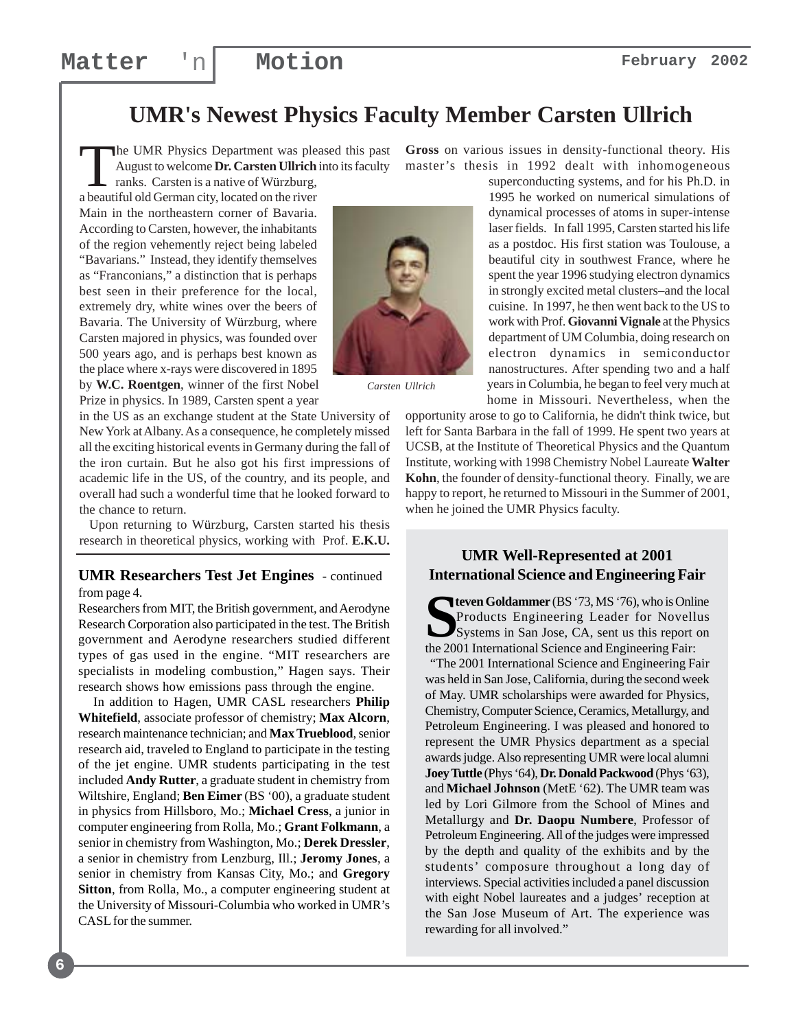#### **UMR's Newest Physics Faculty Member Carsten Ullrich**

The UMR Physics Department was pleased this past August to welcome **Dr. Carsten Ullrich** into its faculty ranks. Carsten is a native of Würzburg,

a beautiful old German city, located on the river Main in the northeastern corner of Bavaria. According to Carsten, however, the inhabitants of the region vehemently reject being labeled "Bavarians." Instead, they identify themselves as "Franconians," a distinction that is perhaps best seen in their preference for the local, extremely dry, white wines over the beers of Bavaria. The University of Würzburg, where Carsten majored in physics, was founded over 500 years ago, and is perhaps best known as the place where x-rays were discovered in 1895 by **W.C. Roentgen**, winner of the first Nobel Prize in physics. In 1989, Carsten spent a year



*Carsten Ullrich*

in the US as an exchange student at the State University of New York at Albany. As a consequence, he completely missed all the exciting historical events in Germany during the fall of the iron curtain. But he also got his first impressions of academic life in the US, of the country, and its people, and overall had such a wonderful time that he looked forward to the chance to return.

 Upon returning to Würzburg, Carsten started his thesis research in theoretical physics, working with Prof. **E.K.U.**

#### **UMR Researchers Test Jet Engines** - continued from page 4.

Researchers from MIT, the British government, and Aerodyne Research Corporation also participated in the test. The British government and Aerodyne researchers studied different types of gas used in the engine. "MIT researchers are specialists in modeling combustion," Hagen says. Their research shows how emissions pass through the engine.

 In addition to Hagen, UMR CASL researchers **Philip Whitefield**, associate professor of chemistry; **Max Alcorn**, research maintenance technician; and **Max Trueblood**, senior research aid, traveled to England to participate in the testing of the jet engine. UMR students participating in the test included **Andy Rutter**, a graduate student in chemistry from Wiltshire, England; **Ben Eimer** (BS '00), a graduate student in physics from Hillsboro, Mo.; **Michael Cress**, a junior in computer engineering from Rolla, Mo.; **Grant Folkmann**, a senior in chemistry from Washington, Mo.; **Derek Dressler**, a senior in chemistry from Lenzburg, Ill.; **Jeromy Jones**, a senior in chemistry from Kansas City, Mo.; and **Gregory Sitton**, from Rolla, Mo., a computer engineering student at the University of Missouri-Columbia who worked in UMR's CASL for the summer.

**Gross** on various issues in density-functional theory. His master's thesis in 1992 dealt with inhomogeneous

superconducting systems, and for his Ph.D. in 1995 he worked on numerical simulations of dynamical processes of atoms in super-intense laser fields. In fall 1995, Carsten started his life as a postdoc. His first station was Toulouse, a beautiful city in southwest France, where he spent the year 1996 studying electron dynamics in strongly excited metal clusters–and the local cuisine. In 1997, he then went back to the US to work with Prof. **Giovanni Vignale** at the Physics department of UM Columbia, doing research on electron dynamics in semiconductor nanostructures. After spending two and a half years in Columbia, he began to feel very much at home in Missouri. Nevertheless, when the

opportunity arose to go to California, he didn't think twice, but left for Santa Barbara in the fall of 1999. He spent two years at UCSB, at the Institute of Theoretical Physics and the Quantum Institute, working with 1998 Chemistry Nobel Laureate **Walter Kohn**, the founder of density-functional theory. Finally, we are happy to report, he returned to Missouri in the Summer of 2001, when he joined the UMR Physics faculty.

#### **UMR Well-Represented at 2001 International Science and Engineering Fair**

**SPEND COLORED COLORED FOR THE PRODUCTS SYSTEMS**<br>
Systems in San Jose, CA, sent us this report on the 2001 International Science and Engineering Eair: Products Engineering Leader for Novellus Systems in San Jose, CA, sent us this report on the 2001 International Science and Engineering Fair:

 "The 2001 International Science and Engineering Fair was held in San Jose, California, during the second week of May. UMR scholarships were awarded for Physics, Chemistry, Computer Science, Ceramics, Metallurgy, and Petroleum Engineering. I was pleased and honored to represent the UMR Physics department as a special awards judge. Also representing UMR were local alumni **Joey Tuttle** (Phys '64), **Dr. Donald Packwood** (Phys '63), and **Michael Johnson** (MetE '62). The UMR team was led by Lori Gilmore from the School of Mines and Metallurgy and **Dr. Daopu Numbere**, Professor of Petroleum Engineering. All of the judges were impressed by the depth and quality of the exhibits and by the students' composure throughout a long day of interviews. Special activities included a panel discussion with eight Nobel laureates and a judges' reception at the San Jose Museum of Art. The experience was rewarding for all involved."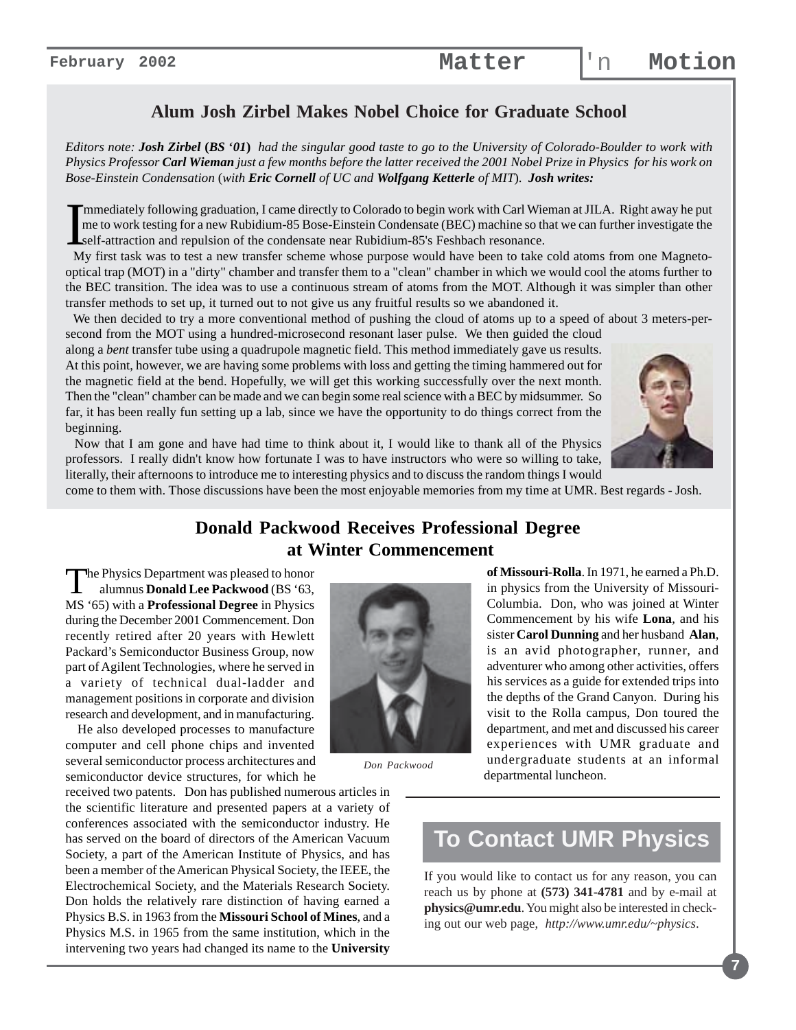#### **Alum Josh Zirbel Makes Nobel Choice for Graduate School**

*Editors note: Josh Zirbel* **(***BS* **'***01***)** *had the singular good taste to go to the University of Colorado-Boulder to work with Physics Professor Carl Wieman just a few months before the latter received the 2001 Nobel Prize in Physics for his work on Bose-Einstein Condensation* (*with Eric Cornell of UC and Wolfgang Ketterle of MIT*). *Josh writes:*

Immediately following graduation, I came directly to Colorado to begin work with Carl Wieman at JILA. Right away he put<br>me to work testing for a new Rubidium-85 Bose-Einstein Condensate (BEC) machine so that we can further mmediately following graduation, I came directly to Colorado to begin work with Carl Wieman at JILA. Right away he put me to work testing for a new Rubidium-85 Bose-Einstein Condensate (BEC) machine so that we can further investigate the self-attraction and repulsion of the condensate near Rubidium-85's Feshbach resonance.

optical trap (MOT) in a "dirty" chamber and transfer them to a "clean" chamber in which we would cool the atoms further to the BEC transition. The idea was to use a continuous stream of atoms from the MOT. Although it was simpler than other transfer methods to set up, it turned out to not give us any fruitful results so we abandoned it.

 We then decided to try a more conventional method of pushing the cloud of atoms up to a speed of about 3 meters-persecond from the MOT using a hundred-microsecond resonant laser pulse. We then guided the cloud

along a *bent* transfer tube using a quadrupole magnetic field. This method immediately gave us results. At this point, however, we are having some problems with loss and getting the timing hammered out for the magnetic field at the bend. Hopefully, we will get this working successfully over the next month. Then the "clean" chamber can be made and we can begin some real science with a BEC by midsummer. So far, it has been really fun setting up a lab, since we have the opportunity to do things correct from the beginning.



 Now that I am gone and have had time to think about it, I would like to thank all of the Physics professors. I really didn't know how fortunate I was to have instructors who were so willing to take, literally, their afternoons to introduce me to interesting physics and to discuss the random things I would

come to them with. Those discussions have been the most enjoyable memories from my time at UMR. Best regards - Josh.

#### **Donald Packwood Receives Professional Degree at Winter Commencement**

The Physics Department was pleased to honor alumnus **Donald Lee Packwood** (BS '63, MS '65) with a **Professional Degree** in Physics during the December 2001 Commencement. Don recently retired after 20 years with Hewlett Packard's Semiconductor Business Group, now part of Agilent Technologies, where he served in a variety of technical dual-ladder and management positions in corporate and division research and development, and in manufacturing.

 He also developed processes to manufacture computer and cell phone chips and invented several semiconductor process architectures and semiconductor device structures, for which he

received two patents. Don has published numerous articles in the scientific literature and presented papers at a variety of conferences associated with the semiconductor industry. He has served on the board of directors of the American Vacuum Society, a part of the American Institute of Physics, and has been a member of the American Physical Society, the IEEE, the Electrochemical Society, and the Materials Research Society. Don holds the relatively rare distinction of having earned a Physics B.S. in 1963 from the **Missouri School of Mines**, and a Physics M.S. in 1965 from the same institution, which in the intervening two years had changed its name to the **University**



*Don Packwood*

**of Missouri-Rolla**. In 1971, he earned a Ph.D. in physics from the University of Missouri-Columbia. Don, who was joined at Winter Commencement by his wife **Lona**, and his sister **Carol Dunning** and her husband **Alan**, is an avid photographer, runner, and adventurer who among other activities, offers his services as a guide for extended trips into the depths of the Grand Canyon. During his visit to the Rolla campus, Don toured the department, and met and discussed his career experiences with UMR graduate and undergraduate students at an informal departmental luncheon.

## **To Contact UMR Physics**

If you would like to contact us for any reason, you can reach us by phone at **(573) 341-4781** and by e-mail at **physics@umr.edu**. You might also be interested in checking out our web page, *http://www.umr.edu/~physics*.

**7**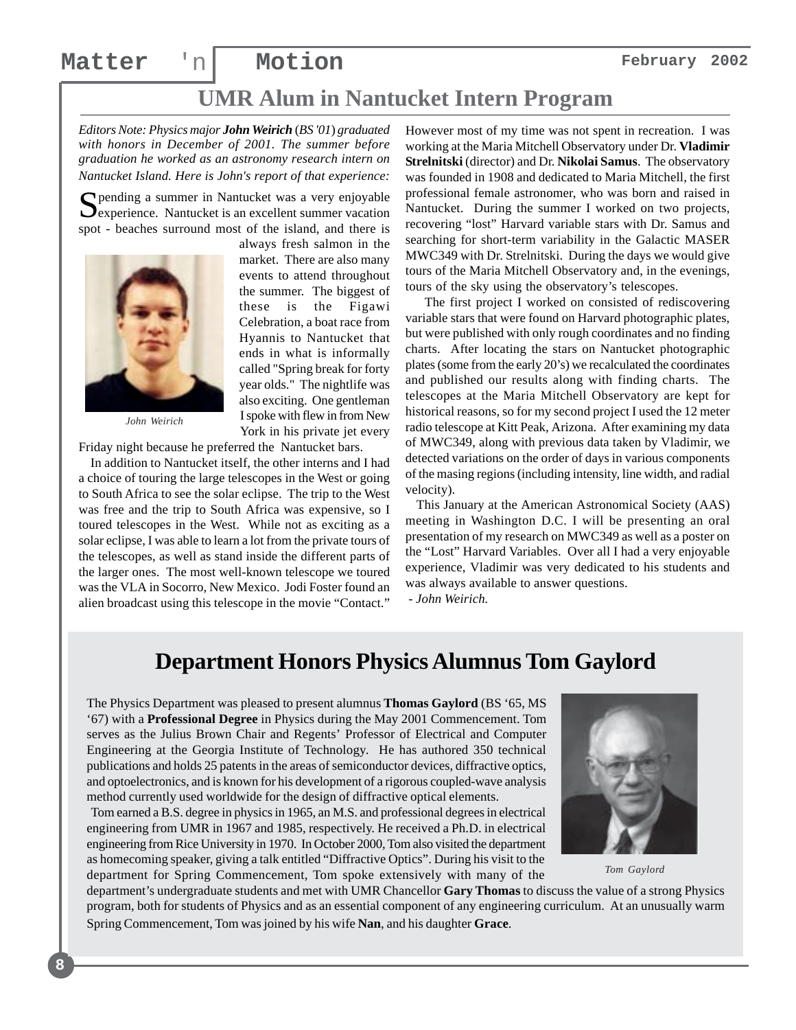always fresh salmon in the market. There are also many events to attend throughout the summer. The biggest of these is the Figawi Celebration, a boat race from Hyannis to Nantucket that ends in what is informally called "Spring break for forty year olds." The nightlife was also exciting. One gentleman I spoke with flew in from New York in his private jet every

## **UMR Alum in Nantucket Intern Program**

*Editors Note: Physics major John Weirich* (*BS '01*) *graduated with honors in December of 2001. The summer before graduation he worked as an astronomy research intern on Nantucket Island. Here is John's report of that experience:*

Spending a summer in Nantucket was a very enjoyable  $\sum$  experience. Nantucket is an excellent summer vacation spot - beaches surround most of the island, and there is



*John Weirich*

**8**

Friday night because he preferred the Nantucket bars.

 In addition to Nantucket itself, the other interns and I had a choice of touring the large telescopes in the West or going to South Africa to see the solar eclipse. The trip to the West was free and the trip to South Africa was expensive, so I toured telescopes in the West. While not as exciting as a solar eclipse, I was able to learn a lot from the private tours of the telescopes, as well as stand inside the different parts of the larger ones. The most well-known telescope we toured was the VLA in Socorro, New Mexico. Jodi Foster found an alien broadcast using this telescope in the movie "Contact."

However most of my time was not spent in recreation. I was working at the Maria Mitchell Observatory under Dr. **Vladimir Strelnitski** (director) and Dr. **Nikolai Samus**. The observatory was founded in 1908 and dedicated to Maria Mitchell, the first professional female astronomer, who was born and raised in Nantucket. During the summer I worked on two projects, recovering "lost" Harvard variable stars with Dr. Samus and searching for short-term variability in the Galactic MASER MWC349 with Dr. Strelnitski. During the days we would give tours of the Maria Mitchell Observatory and, in the evenings, tours of the sky using the observatory's telescopes.

 The first project I worked on consisted of rediscovering variable stars that were found on Harvard photographic plates, but were published with only rough coordinates and no finding charts. After locating the stars on Nantucket photographic plates (some from the early 20's) we recalculated the coordinates and published our results along with finding charts. The telescopes at the Maria Mitchell Observatory are kept for historical reasons, so for my second project I used the 12 meter radio telescope at Kitt Peak, Arizona. After examining my data of MWC349, along with previous data taken by Vladimir, we detected variations on the order of days in various components of the masing regions (including intensity, line width, and radial velocity).

 This January at the American Astronomical Society (AAS) meeting in Washington D.C. I will be presenting an oral presentation of my research on MWC349 as well as a poster on the "Lost" Harvard Variables. Over all I had a very enjoyable experience, Vladimir was very dedicated to his students and was always available to answer questions.

 *- John Weirich.*

#### **Department Honors Physics Alumnus Tom Gaylord**

The Physics Department was pleased to present alumnus **Thomas Gaylord** (BS '65, MS '67) with a **Professional Degree** in Physics during the May 2001 Commencement. Tom serves as the Julius Brown Chair and Regents' Professor of Electrical and Computer Engineering at the Georgia Institute of Technology. He has authored 350 technical publications and holds 25 patents in the areas of semiconductor devices, diffractive optics, and optoelectronics, and is known for his development of a rigorous coupled-wave analysis method currently used worldwide for the design of diffractive optical elements.

 Tom earned a B.S. degree in physics in 1965, an M.S. and professional degrees in electrical engineering from UMR in 1967 and 1985, respectively. He received a Ph.D. in electrical engineering from Rice University in 1970. In October 2000, Tom also visited the department as homecoming speaker, giving a talk entitled "Diffractive Optics". During his visit to the department for Spring Commencement, Tom spoke extensively with many of the



*Tom Gaylord*

department's undergraduate students and met with UMR Chancellor **Gary Thomas** to discuss the value of a strong Physics program, both for students of Physics and as an essential component of any engineering curriculum. At an unusually warm Spring Commencement, Tom was joined by his wife **Nan**, and his daughter **Grace**.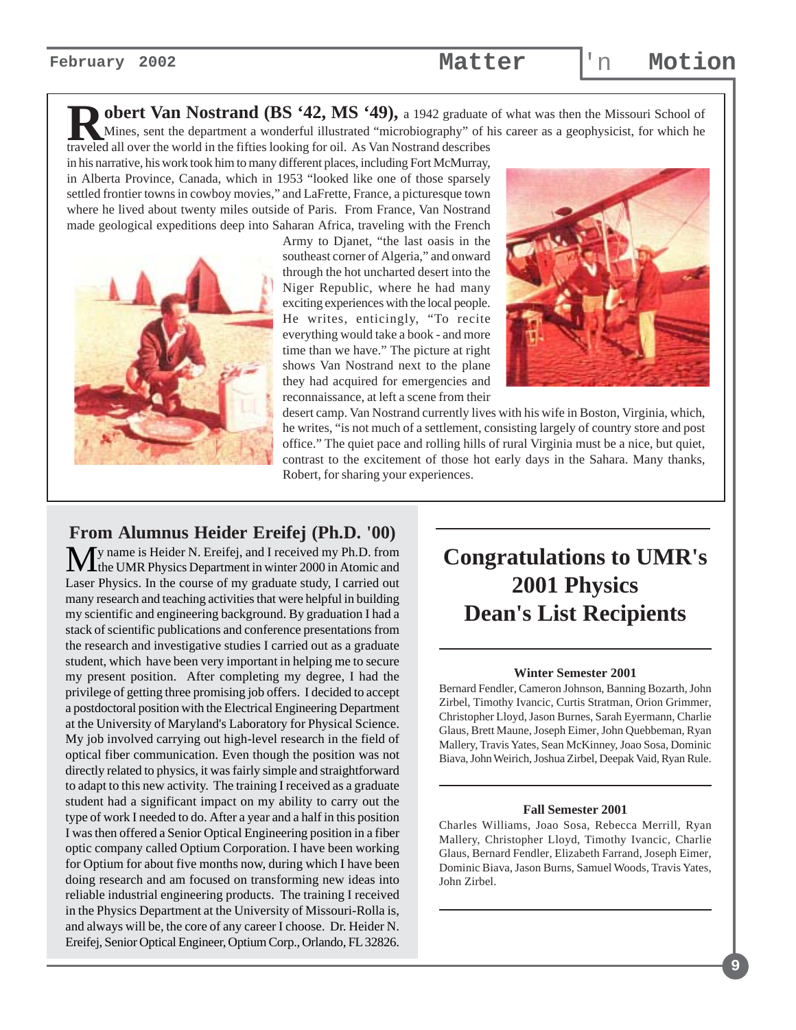**obert Van Nostrand (BS '42, MS '49),** a 1942 graduate of what was then the Missouri School of Mines, sent the department a wonderful illustrated "microbiography" of his career as a geophysicist, for which he

traveled all over the world in the fifties looking for oil. As Van Nostrand describes in his narrative, his work took him to many different places, including Fort McMurray, in Alberta Province, Canada, which in 1953 "looked like one of those sparsely settled frontier towns in cowboy movies," and LaFrette, France, a picturesque town where he lived about twenty miles outside of Paris. From France, Van Nostrand made geological expeditions deep into Saharan Africa, traveling with the French



Army to Djanet, "the last oasis in the southeast corner of Algeria," and onward through the hot uncharted desert into the Niger Republic, where he had many exciting experiences with the local people. He writes, enticingly, "To recite everything would take a book - and more time than we have." The picture at right shows Van Nostrand next to the plane they had acquired for emergencies and reconnaissance, at left a scene from their



desert camp. Van Nostrand currently lives with his wife in Boston, Virginia, which, he writes, "is not much of a settlement, consisting largely of country store and post office." The quiet pace and rolling hills of rural Virginia must be a nice, but quiet, contrast to the excitement of those hot early days in the Sahara. Many thanks, Robert, for sharing your experiences.

#### **From Alumnus Heider Ereifej (Ph.D. '00)**

My name is Heider N. Ereifej, and I received my Ph.D. from<br>the UMR Physics Department in winter 2000 in Atomic and Laser Physics. In the course of my graduate study, I carried out many research and teaching activities that were helpful in building my scientific and engineering background. By graduation I had a stack of scientific publications and conference presentations from the research and investigative studies I carried out as a graduate student, which have been very important in helping me to secure my present position. After completing my degree, I had the privilege of getting three promising job offers. I decided to accept a postdoctoral position with the Electrical Engineering Department at the University of Maryland's Laboratory for Physical Science. My job involved carrying out high-level research in the field of optical fiber communication. Even though the position was not directly related to physics, it was fairly simple and straightforward to adapt to this new activity. The training I received as a graduate student had a significant impact on my ability to carry out the type of work I needed to do. After a year and a half in this position I was then offered a Senior Optical Engineering position in a fiber optic company called Optium Corporation. I have been working for Optium for about five months now, during which I have been doing research and am focused on transforming new ideas into reliable industrial engineering products. The training I received in the Physics Department at the University of Missouri-Rolla is, and always will be, the core of any career I choose. Dr. Heider N. Ereifej, Senior Optical Engineer, Optium Corp., Orlando, FL 32826.

## **Congratulations to UMR's 2001 Physics Dean's List Recipients**

#### **Winter Semester 2001**

Bernard Fendler, Cameron Johnson, Banning Bozarth, John Zirbel, Timothy Ivancic, Curtis Stratman, Orion Grimmer, Christopher Lloyd, Jason Burnes, Sarah Eyermann, Charlie Glaus, Brett Maune, Joseph Eimer, John Quebbeman, Ryan Mallery, Travis Yates, Sean McKinney, Joao Sosa, Dominic Biava, John Weirich, Joshua Zirbel, Deepak Vaid, Ryan Rule.

#### **Fall Semester 2001**

Charles Williams, Joao Sosa, Rebecca Merrill, Ryan Mallery, Christopher Lloyd, Timothy Ivancic, Charlie Glaus, Bernard Fendler, Elizabeth Farrand, Joseph Eimer, Dominic Biava, Jason Burns, Samuel Woods, Travis Yates, John Zirbel.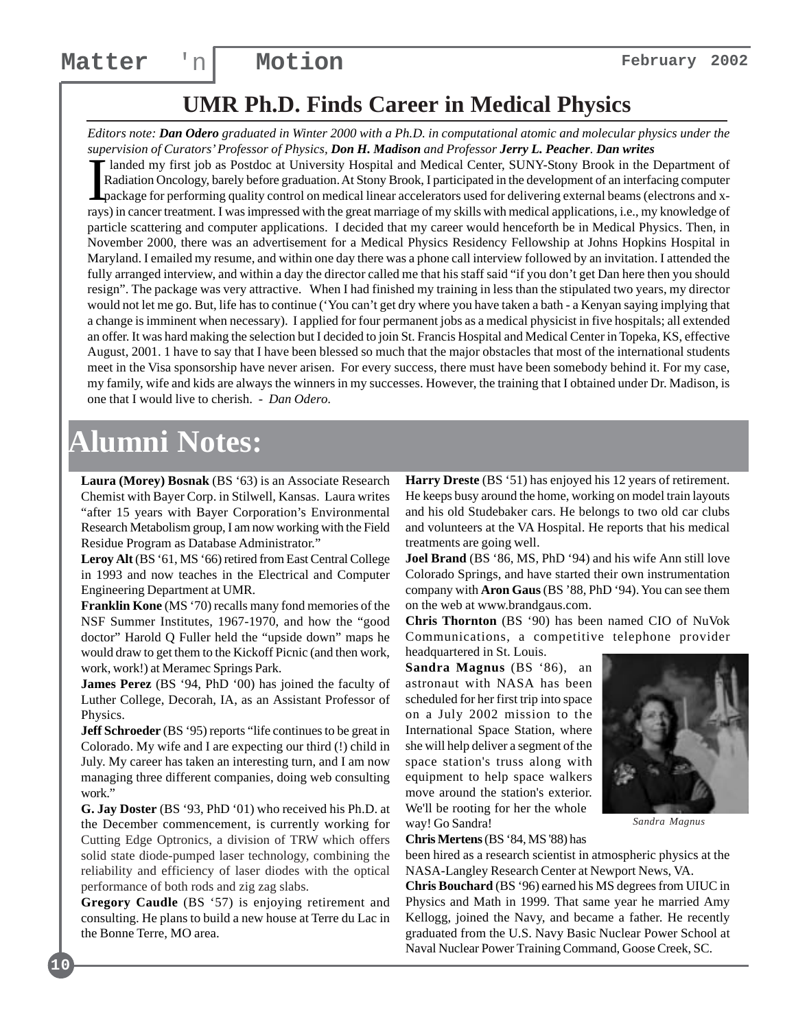## **UMR Ph.D. Finds Career in Medical Physics**

*Editors note: Dan Odero graduated in Winter 2000 with a Ph.D. in computational atomic and molecular physics under the supervision of Curators' Professor of Physics, Don H. Madison and Professor Jerry L. Peacher. Dan writes*

 $\prod_{\text{g}}$ landed my first job as Postdoc at University Hospital and Medical Center, SUNY-Stony Brook in the Department of Radiation Oncology, barely before graduation. At Stony Brook, I participated in the development of an interfacing computer package for performing quality control on medical linear accelerators used for delivering external beams (electrons and xrays) in cancer treatment. I was impressed with the great marriage of my skills with medical applications, i.e., my knowledge of particle scattering and computer applications. I decided that my career would henceforth be in Medical Physics. Then, in November 2000, there was an advertisement for a Medical Physics Residency Fellowship at Johns Hopkins Hospital in Maryland. I emailed my resume, and within one day there was a phone call interview followed by an invitation. I attended the fully arranged interview, and within a day the director called me that his staff said "if you don't get Dan here then you should resign". The package was very attractive. When I had finished my training in less than the stipulated two years, my director would not let me go. But, life has to continue ('You can't get dry where you have taken a bath - a Kenyan saying implying that a change is imminent when necessary). I applied for four permanent jobs as a medical physicist in five hospitals; all extended an offer. It was hard making the selection but I decided to join St. Francis Hospital and Medical Center in Topeka, KS, effective August, 2001. 1 have to say that I have been blessed so much that the major obstacles that most of the international students meet in the Visa sponsorship have never arisen. For every success, there must have been somebody behind it. For my case, my family, wife and kids are always the winners in my successes. However, the training that I obtained under Dr. Madison, is one that I would live to cherish. *- Dan Odero.*

## **Alumni Notes:**

**Laura (Morey) Bosnak** (BS '63) is an Associate Research Chemist with Bayer Corp. in Stilwell, Kansas. Laura writes "after 15 years with Bayer Corporation's Environmental Research Metabolism group, I am now working with the Field Residue Program as Database Administrator."

**Leroy Alt** (BS '61, MS '66) retired from East Central College in 1993 and now teaches in the Electrical and Computer Engineering Department at UMR.

**Franklin Kone** (MS '70) recalls many fond memories of the NSF Summer Institutes, 1967-1970, and how the "good doctor" Harold Q Fuller held the "upside down" maps he would draw to get them to the Kickoff Picnic (and then work, work, work!) at Meramec Springs Park.

**James Perez** (BS '94, PhD '00) has joined the faculty of Luther College, Decorah, IA, as an Assistant Professor of Physics.

**Jeff Schroeder** (BS '95) reports "life continues to be great in Colorado. My wife and I are expecting our third (!) child in July. My career has taken an interesting turn, and I am now managing three different companies, doing web consulting work."

**G. Jay Doster** (BS '93, PhD '01) who received his Ph.D. at the December commencement, is currently working for Cutting Edge Optronics, a division of TRW which offers solid state diode-pumped laser technology, combining the reliability and efficiency of laser diodes with the optical performance of both rods and zig zag slabs.

**Gregory Caudle** (BS '57) is enjoying retirement and consulting. He plans to build a new house at Terre du Lac in the Bonne Terre, MO area.

**Harry Dreste** (BS '51) has enjoyed his 12 years of retirement. He keeps busy around the home, working on model train layouts and his old Studebaker cars. He belongs to two old car clubs and volunteers at the VA Hospital. He reports that his medical treatments are going well.

**Joel Brand** (BS '86, MS, PhD '94) and his wife Ann still love Colorado Springs, and have started their own instrumentation company with **Aron Gaus** (BS '88, PhD '94). You can see them on the web at www.brandgaus.com.

**Chris Thornton** (BS '90) has been named CIO of NuVok Communications, a competitive telephone provider headquartered in St. Louis.

**Sandra Magnus** (BS '86), an astronaut with NASA has been scheduled for her first trip into space on a July 2002 mission to the International Space Station, where she will help deliver a segment of the space station's truss along with equipment to help space walkers move around the station's exterior. We'll be rooting for her the whole way! Go Sandra!



*Sandra Magnus*

**Chris Mertens** (BS '84, MS '88) has

been hired as a research scientist in atmospheric physics at the NASA-Langley Research Center at Newport News, VA.

**Chris Bouchard** (BS '96) earned his MS degrees from UIUC in Physics and Math in 1999. That same year he married Amy Kellogg, joined the Navy, and became a father. He recently graduated from the U.S. Navy Basic Nuclear Power School at Naval Nuclear Power Training Command, Goose Creek, SC.

**10**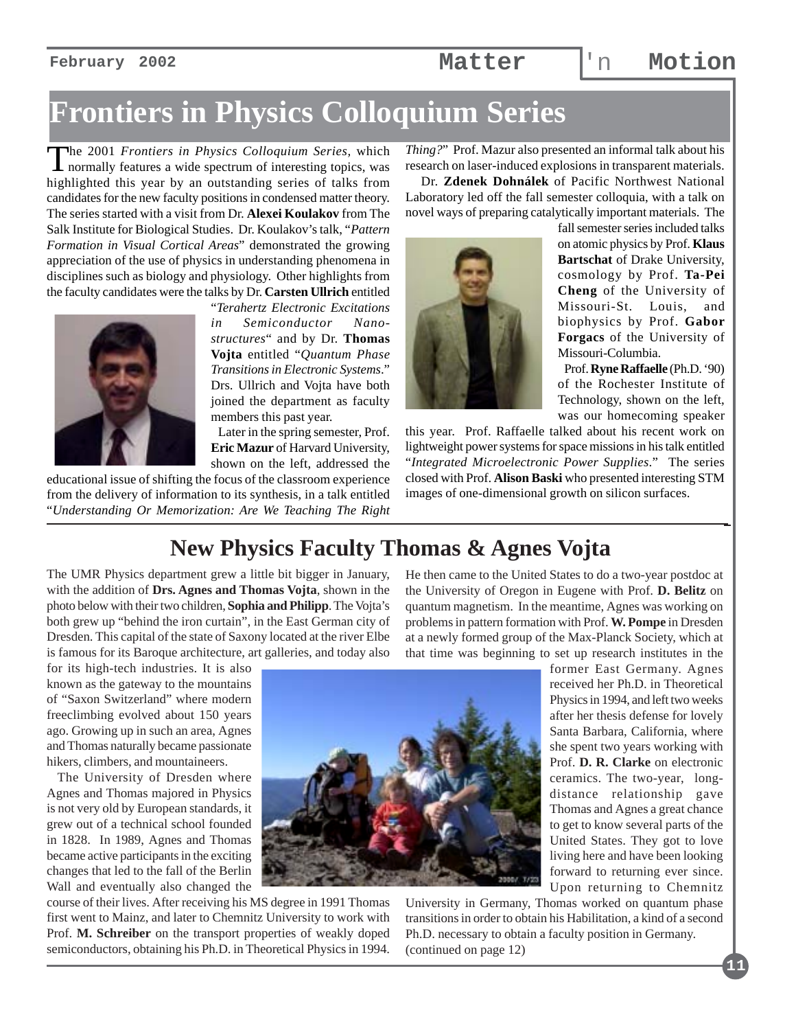**February 2002 Matter** 'n **Motion**

## **Frontiers in Physics Colloquium Series**

The 2001 *Frontiers in Physics Colloquium Series*, which normally features a wide spectrum of interesting topics, was highlighted this year by an outstanding series of talks from candidates for the new faculty positions in condensed matter theory. The series started with a visit from Dr. **Alexei Koulakov** from The Salk Institute for Biological Studies. Dr. Koulakov's talk, "*Pattern Formation in Visual Cortical Areas*" demonstrated the growing appreciation of the use of physics in understanding phenomena in disciplines such as biology and physiology. Other highlights from the faculty candidates were the talks by Dr. **Carsten Ullrich** entitled



"*Terahertz Electronic Excitations in Semiconductor Nanostructures*" and by Dr. **Thomas Vojta** entitled "*Quantum Phase Transitions in Electronic Systems*." Drs. Ullrich and Vojta have both joined the department as faculty members this past year.

 Later in the spring semester, Prof. **Eric Mazur** of Harvard University, shown on the left, addressed the

educational issue of shifting the focus of the classroom experience from the delivery of information to its synthesis, in a talk entitled "*Understanding Or Memorization: Are We Teaching The Right*

*Thing?*" Prof. Mazur also presented an informal talk about his research on laser-induced explosions in transparent materials.

 Dr. **Zdenek Dohnálek** of Pacific Northwest National Laboratory led off the fall semester colloquia, with a talk on novel ways of preparing catalytically important materials. The



fall semester series included talks on atomic physics by Prof. **Klaus Bartschat** of Drake University, cosmology by Prof. **Ta-Pei Cheng** of the University of Missouri-St. Louis, and biophysics by Prof. **Gabor Forgacs** of the University of Missouri-Columbia.

 Prof. **Ryne Raffaelle** (Ph.D. '90) of the Rochester Institute of Technology, shown on the left, was our homecoming speaker

this year. Prof. Raffaelle talked about his recent work on lightweight power systems for space missions in his talk entitled "*Integrated Microelectronic Power Supplies*." The series closed with Prof. **Alison Baski** who presented interesting STM images of one-dimensional growth on silicon surfaces.

### **New Physics Faculty Thomas & Agnes Vojta**

The UMR Physics department grew a little bit bigger in January, with the addition of **Drs. Agnes and Thomas Vojta**, shown in the photo below with their two children, **Sophia and Philipp**. The Vojta's both grew up "behind the iron curtain", in the East German city of Dresden. This capital of the state of Saxony located at the river Elbe is famous for its Baroque architecture, art galleries, and today also

for its high-tech industries. It is also known as the gateway to the mountains of "Saxon Switzerland" where modern freeclimbing evolved about 150 years ago. Growing up in such an area, Agnes and Thomas naturally became passionate hikers, climbers, and mountaineers.

 The University of Dresden where Agnes and Thomas majored in Physics is not very old by European standards, it grew out of a technical school founded in 1828. In 1989, Agnes and Thomas became active participants in the exciting changes that led to the fall of the Berlin Wall and eventually also changed the

course of their lives. After receiving his MS degree in 1991 Thomas first went to Mainz, and later to Chemnitz University to work with Prof. **M. Schreiber** on the transport properties of weakly doped semiconductors, obtaining his Ph.D. in Theoretical Physics in 1994.

He then came to the United States to do a two-year postdoc at the University of Oregon in Eugene with Prof. **D. Belitz** on quantum magnetism. In the meantime, Agnes was working on problems in pattern formation with Prof. **W. Pompe** in Dresden at a newly formed group of the Max-Planck Society, which at that time was beginning to set up research institutes in the

> former East Germany. Agnes received her Ph.D. in Theoretical Physics in 1994, and left two weeks after her thesis defense for lovely Santa Barbara, California, where she spent two years working with Prof. **D. R. Clarke** on electronic ceramics. The two-year, longdistance relationship gave Thomas and Agnes a great chance to get to know several parts of the United States. They got to love living here and have been looking forward to returning ever since. Upon returning to Chemnitz

> > **11**

University in Germany, Thomas worked on quantum phase transitions in order to obtain his Habilitation, a kind of a second Ph.D. necessary to obtain a faculty position in Germany. (continued on page 12)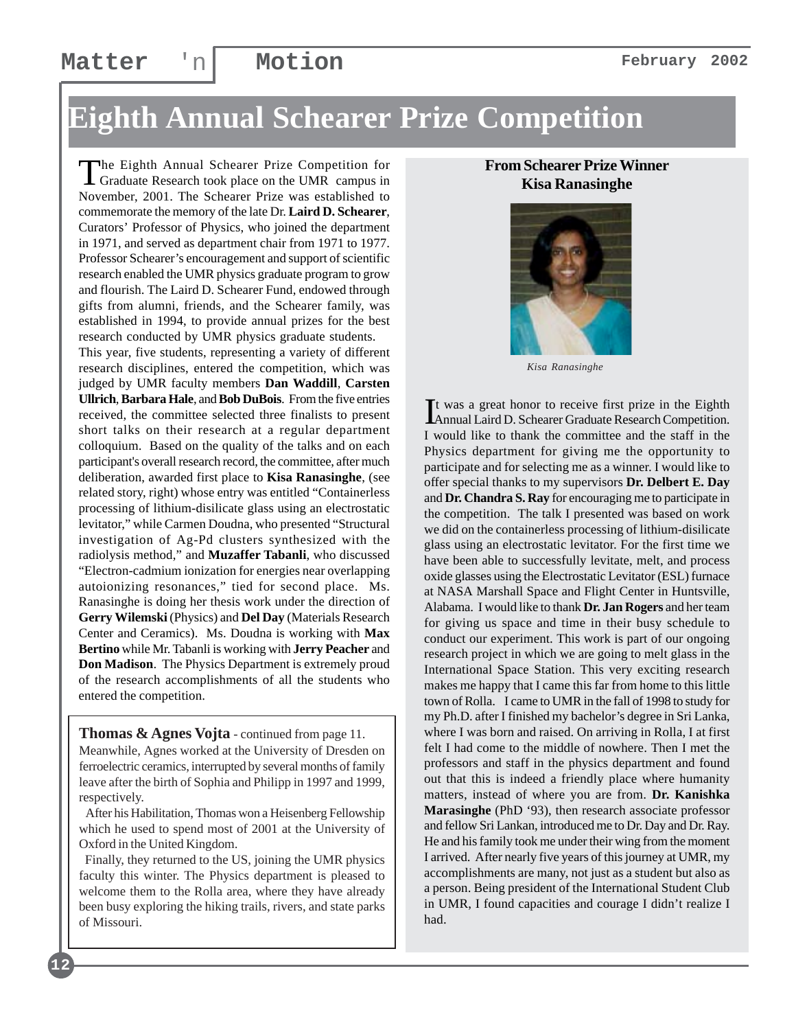## **Eighth Annual Schearer Prize Competition**

The Eighth Annual Schearer Prize Competition for<br>Graduate Research took place on the UMR campus in November, 2001. The Schearer Prize was established to commemorate the memory of the late Dr. **Laird D. Schearer**, Curators' Professor of Physics, who joined the department in 1971, and served as department chair from 1971 to 1977. Professor Schearer's encouragement and support of scientific research enabled the UMR physics graduate program to grow and flourish. The Laird D. Schearer Fund, endowed through gifts from alumni, friends, and the Schearer family, was established in 1994, to provide annual prizes for the best research conducted by UMR physics graduate students.

This year, five students, representing a variety of different research disciplines, entered the competition, which was judged by UMR faculty members **Dan Waddill**, **Carsten Ullrich**, **Barbara Hale**, and **Bob DuBois**. From the five entries received, the committee selected three finalists to present short talks on their research at a regular department colloquium. Based on the quality of the talks and on each participant's overall research record, the committee, after much deliberation, awarded first place to **Kisa Ranasinghe**, (see related story, right) whose entry was entitled "Containerless processing of lithium-disilicate glass using an electrostatic levitator," while Carmen Doudna, who presented "Structural investigation of Ag-Pd clusters synthesized with the radiolysis method," and **Muzaffer Tabanli**, who discussed "Electron-cadmium ionization for energies near overlapping autoionizing resonances," tied for second place. Ms. Ranasinghe is doing her thesis work under the direction of **Gerry Wilemski** (Physics) and **Del Day** (Materials Research Center and Ceramics). Ms. Doudna is working with **Max Bertino** while Mr. Tabanli is working with **Jerry Peacher** and **Don Madison**. The Physics Department is extremely proud of the research accomplishments of all the students who entered the competition.

**Thomas & Agnes Vojta** - continued from page 11. Meanwhile, Agnes worked at the University of Dresden on ferroelectric ceramics, interrupted by several months of family leave after the birth of Sophia and Philipp in 1997 and 1999, respectively.

 After his Habilitation, Thomas won a Heisenberg Fellowship which he used to spend most of 2001 at the University of Oxford in the United Kingdom.

 Finally, they returned to the US, joining the UMR physics faculty this winter. The Physics department is pleased to welcome them to the Rolla area, where they have already been busy exploring the hiking trails, rivers, and state parks of Missouri.

**12**

#### **From Schearer Prize Winner Kisa Ranasinghe**



*Kisa Ranasinghe*

It was a great honor to receive first prize in the Eighth<br>Annual Laird D. Schearer Graduate Research Competition. Annual Laird D. Schearer Graduate Research Competition. I would like to thank the committee and the staff in the Physics department for giving me the opportunity to participate and for selecting me as a winner. I would like to offer special thanks to my supervisors **Dr. Delbert E. Day** and **Dr. Chandra S. Ray** for encouraging me to participate in the competition. The talk I presented was based on work we did on the containerless processing of lithium-disilicate glass using an electrostatic levitator. For the first time we have been able to successfully levitate, melt, and process oxide glasses using the Electrostatic Levitator (ESL) furnace at NASA Marshall Space and Flight Center in Huntsville, Alabama. I would like to thank **Dr. Jan Rogers** and her team for giving us space and time in their busy schedule to conduct our experiment. This work is part of our ongoing research project in which we are going to melt glass in the International Space Station. This very exciting research makes me happy that I came this far from home to this little town of Rolla. I came to UMR in the fall of 1998 to study for my Ph.D. after I finished my bachelor's degree in Sri Lanka, where I was born and raised. On arriving in Rolla, I at first felt I had come to the middle of nowhere. Then I met the professors and staff in the physics department and found out that this is indeed a friendly place where humanity matters, instead of where you are from. **Dr. Kanishka Marasinghe** (PhD '93), then research associate professor and fellow Sri Lankan, introduced me to Dr. Day and Dr. Ray. He and his family took me under their wing from the moment I arrived. After nearly five years of this journey at UMR, my accomplishments are many, not just as a student but also as a person. Being president of the International Student Club in UMR, I found capacities and courage I didn't realize I had.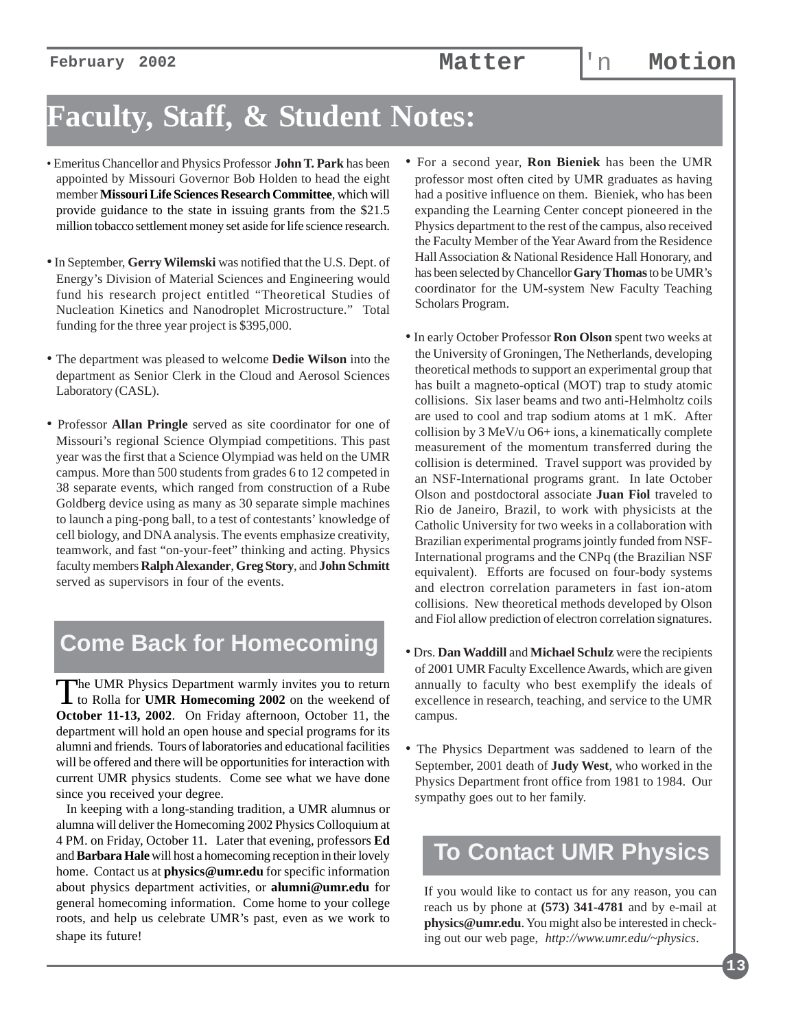# **Faculty, Staff, & Student Notes:**

- Emeritus Chancellor and Physics Professor **John T. Park** has been appointed by Missouri Governor Bob Holden to head the eight member **Missouri Life Sciences Research Committee**, which will provide guidance to the state in issuing grants from the \$21.5 million tobacco settlement money set aside for life science research.
- In September, **Gerry Wilemski** was notified that the U.S. Dept. of Energy's Division of Material Sciences and Engineering would fund his research project entitled "Theoretical Studies of Nucleation Kinetics and Nanodroplet Microstructure." Total funding for the three year project is \$395,000.
- The department was pleased to welcome **Dedie Wilson** into the department as Senior Clerk in the Cloud and Aerosol Sciences Laboratory (CASL).
- Professor **Allan Pringle** served as site coordinator for one of Missouri's regional Science Olympiad competitions. This past year was the first that a Science Olympiad was held on the UMR campus. More than 500 students from grades 6 to 12 competed in 38 separate events, which ranged from construction of a Rube Goldberg device using as many as 30 separate simple machines to launch a ping-pong ball, to a test of contestants' knowledge of cell biology, and DNA analysis. The events emphasize creativity, teamwork, and fast "on-your-feet" thinking and acting. Physics faculty members **Ralph Alexander**, **Greg Story**, and **John Schmitt** served as supervisors in four of the events.

## **Come Back for Homecoming**

The UMR Physics Department warmly invites you to return to Rolla for **UMR Homecoming 2002** on the weekend of **October 11-13, 2002**. On Friday afternoon, October 11, the department will hold an open house and special programs for its alumni and friends. Tours of laboratories and educational facilities will be offered and there will be opportunities for interaction with current UMR physics students. Come see what we have done since you received your degree.

 In keeping with a long-standing tradition, a UMR alumnus or alumna will deliver the Homecoming 2002 Physics Colloquium at 4 PM. on Friday, October 11. Later that evening, professors **Ed** and **Barbara Hale** will host a homecoming reception in their lovely home. Contact us at **physics@umr.edu** for specific information about physics department activities, or **alumni@umr.edu** for general homecoming information. Come home to your college roots, and help us celebrate UMR's past, even as we work to shape its future!

- For a second year, **Ron Bieniek** has been the UMR professor most often cited by UMR graduates as having had a positive influence on them. Bieniek, who has been expanding the Learning Center concept pioneered in the Physics department to the rest of the campus, also received the Faculty Member of the Year Award from the Residence Hall Association & National Residence Hall Honorary, and has been selected by Chancellor **Gary Thomas** to be UMR's coordinator for the UM-system New Faculty Teaching Scholars Program.
- In early October Professor **Ron Olson** spent two weeks at the University of Groningen, The Netherlands, developing theoretical methods to support an experimental group that has built a magneto-optical (MOT) trap to study atomic collisions. Six laser beams and two anti-Helmholtz coils are used to cool and trap sodium atoms at 1 mK. After collision by 3 MeV/u O6+ ions, a kinematically complete measurement of the momentum transferred during the collision is determined. Travel support was provided by an NSF-International programs grant. In late October Olson and postdoctoral associate **Juan Fiol** traveled to Rio de Janeiro, Brazil, to work with physicists at the Catholic University for two weeks in a collaboration with Brazilian experimental programs jointly funded from NSF-International programs and the CNPq (the Brazilian NSF equivalent). Efforts are focused on four-body systems and electron correlation parameters in fast ion-atom collisions. New theoretical methods developed by Olson and Fiol allow prediction of electron correlation signatures.
- Drs. **Dan Waddill** and **Michael Schulz** were the recipients of 2001 UMR Faculty Excellence Awards, which are given annually to faculty who best exemplify the ideals of excellence in research, teaching, and service to the UMR campus.
- The Physics Department was saddened to learn of the September, 2001 death of **Judy West**, who worked in the Physics Department front office from 1981 to 1984. Our sympathy goes out to her family.

### **To Contact UMR Physics**

If you would like to contact us for any reason, you can reach us by phone at **(573) 341-4781** and by e-mail at **physics@umr.edu**. You might also be interested in checking out our web page, *http://www.umr.edu/~physics*.